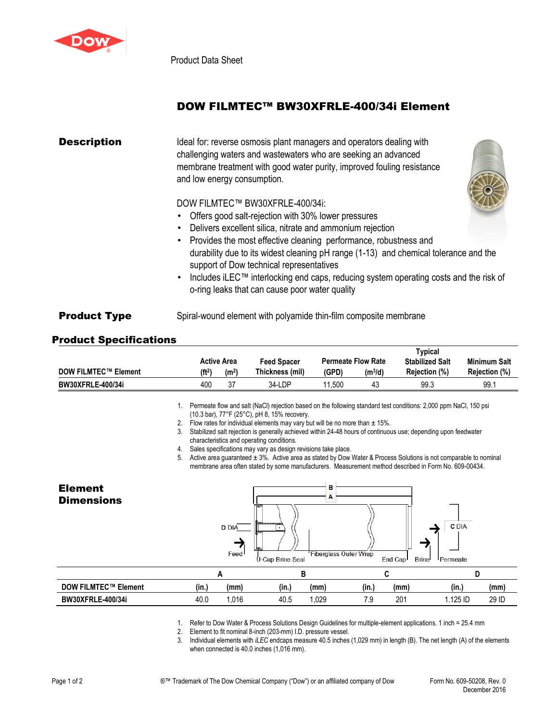

Product Data Sheet

## DOW FILMTEC™ BW30XFRLE-400/34i Element

| <b>Description</b>  | Ideal for: reverse osmosis plant managers and operators dealing with<br>challenging waters and wastewaters who are seeking an advanced<br>membrane treatment with good water purity, improved fouling resistance<br>and low energy consumption. |  |  |  |  |  |  |
|---------------------|-------------------------------------------------------------------------------------------------------------------------------------------------------------------------------------------------------------------------------------------------|--|--|--|--|--|--|
|                     | DOW FILMTEC™ BW30XFRLE-400/34i:                                                                                                                                                                                                                 |  |  |  |  |  |  |
|                     | • Offers good salt-rejection with 30% lower pressures<br>Delivers excellent silica, nitrate and ammonium rejection                                                                                                                              |  |  |  |  |  |  |
|                     | Provides the most effective cleaning performance, robustness and<br>durability due to its widest cleaning pH range (1-13) and chemical tolerance and the<br>support of Dow technical representatives                                            |  |  |  |  |  |  |
|                     | Includes iLEC™ interlocking end caps, reducing system operating costs and the risk of<br>o-ring leaks that can cause poor water quality                                                                                                         |  |  |  |  |  |  |
| <b>Product Type</b> | Spiral-wound element with polyamide thin-film composite membrane                                                                                                                                                                                |  |  |  |  |  |  |

## Product Specifications

|                             |                    |                   |                    | Typical |                           |                        |                     |
|-----------------------------|--------------------|-------------------|--------------------|---------|---------------------------|------------------------|---------------------|
|                             |                    | Active Area       | <b>Feed Spacer</b> |         | <b>Permeate Flow Rate</b> | <b>Stabilized Salt</b> | <b>Minimum Salt</b> |
| <b>DOW FILMTEC™ Element</b> | (f <sup>t2</sup> ) | (m <sup>2</sup> ) | Thickness (mil)    | (GPD)   | $(m^3/d)$                 | Rejection (%)          | Rejection (%)       |
| <b>BW30XFRLE-400/34i</b>    | 400                | 27                | 34-LDP             | .500    | 43                        | 99.3                   | 99.1                |

1. Permeate flow and salt (NaCl) rejection based on the following standard test conditions: 2,000 ppm NaCl, 150 psi (10.3 bar), 77°F (25°C), pH 8, 15% recovery.

- 2. Flow rates for individual elements may vary but will be no more than  $\pm$  15%.
- 3. Stabilized salt rejection is generally achieved within 24-48 hours of continuous use; depending upon feedwater characteristics and operating conditions.
- 4. Sales specifications may vary as design revisions take place.

5. Active area guaranteed ± 3%. Active area as stated by Dow Water & Process Solutions is not comparable to nominal membrane area often stated by some manufacturers. Measurement method described in Form No. 609-00434.



**BW30XFRLE-400/34i** 40.0 1,016 40.5 1,029 7.9 201 1.125 ID 29 ID

|  | 1. Refer to Dow Water & Process Solutions Design Guidelines for multiple-element applications. 1 inch = 25.4 mm |  |  |
|--|-----------------------------------------------------------------------------------------------------------------|--|--|
|  |                                                                                                                 |  |  |

2. Element to fit nominal 8-inch (203-mm) I.D. pressure vessel.

3. Individual elements with *iLEC* endcaps measure 40.5 inches (1,029 mm) in length (B). The net length (A) of the elements when connected is 40.0 inches (1,016 mm).